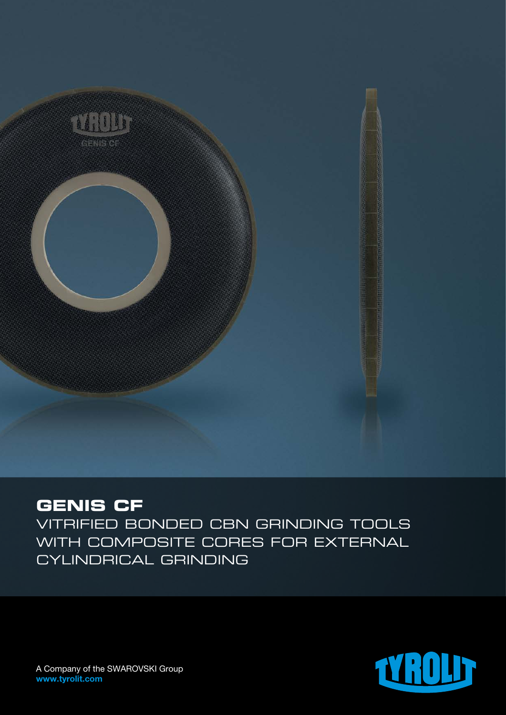

## **GENIS CF**

Vitrified bonded CBN grinding tools with composite cores for external cylindrical grinding